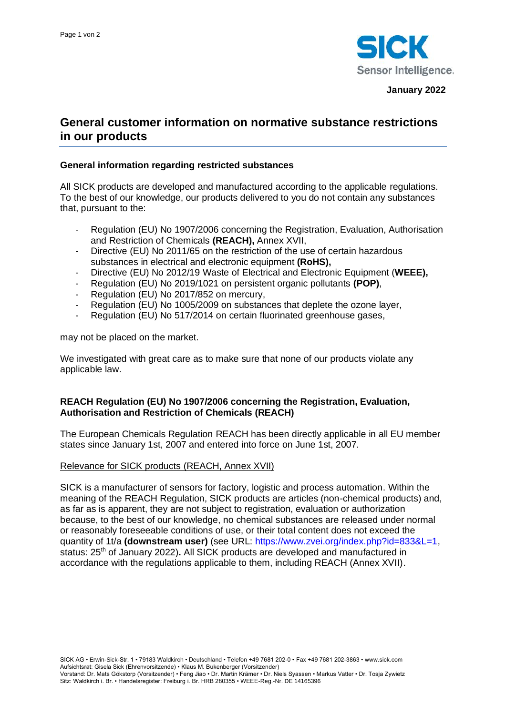

# **General customer information on normative substance restrictions in our products**

## **General information regarding restricted substances**

All SICK products are developed and manufactured according to the applicable regulations. To the best of our knowledge, our products delivered to you do not contain any substances that, pursuant to the:

- Regulation (EU) No 1907/2006 concerning the Registration, Evaluation, Authorisation and Restriction of Chemicals **(REACH),** Annex XVII,
- Directive (EU) No 2011/65 on the restriction of the use of certain hazardous substances in electrical and electronic equipment **(RoHS),**
- Directive (EU) No 2012/19 Waste of Electrical and Electronic Equipment (**WEEE),**
- Regulation (EU) No 2019/1021 on persistent organic pollutants **(POP)**,
- Regulation (EU) No 2017/852 on mercury,
- Regulation (EU) No 1005/2009 on substances that deplete the ozone layer,
- Regulation (EU) No 517/2014 on certain fluorinated greenhouse gases,

may not be placed on the market.

We investigated with great care as to make sure that none of our products violate any applicable law.

## **REACH Regulation (EU) No 1907/2006 concerning the Registration, Evaluation, Authorisation and Restriction of Chemicals (REACH)**

The European Chemicals Regulation REACH has been directly applicable in all EU member states since January 1st, 2007 and entered into force on June 1st, 2007.

#### Relevance for SICK products (REACH, Annex XVII)

SICK is a manufacturer of sensors for factory, logistic and process automation. Within the meaning of the REACH Regulation, SICK products are articles (non-chemical products) and, as far as is apparent, they are not subject to registration, evaluation or authorization because, to the best of our knowledge, no chemical substances are released under normal or reasonably foreseeable conditions of use, or their total content does not exceed the quantity of 1t/a **(downstream user)** (see URL: [https://www.zvei.org/index.php?id=833&L=1,](https://www.zvei.org/index.php?id=833&L=1) status: 25<sup>th</sup> of January 2022). All SICK products are developed and manufactured in accordance with the regulations applicable to them, including REACH (Annex XVII).